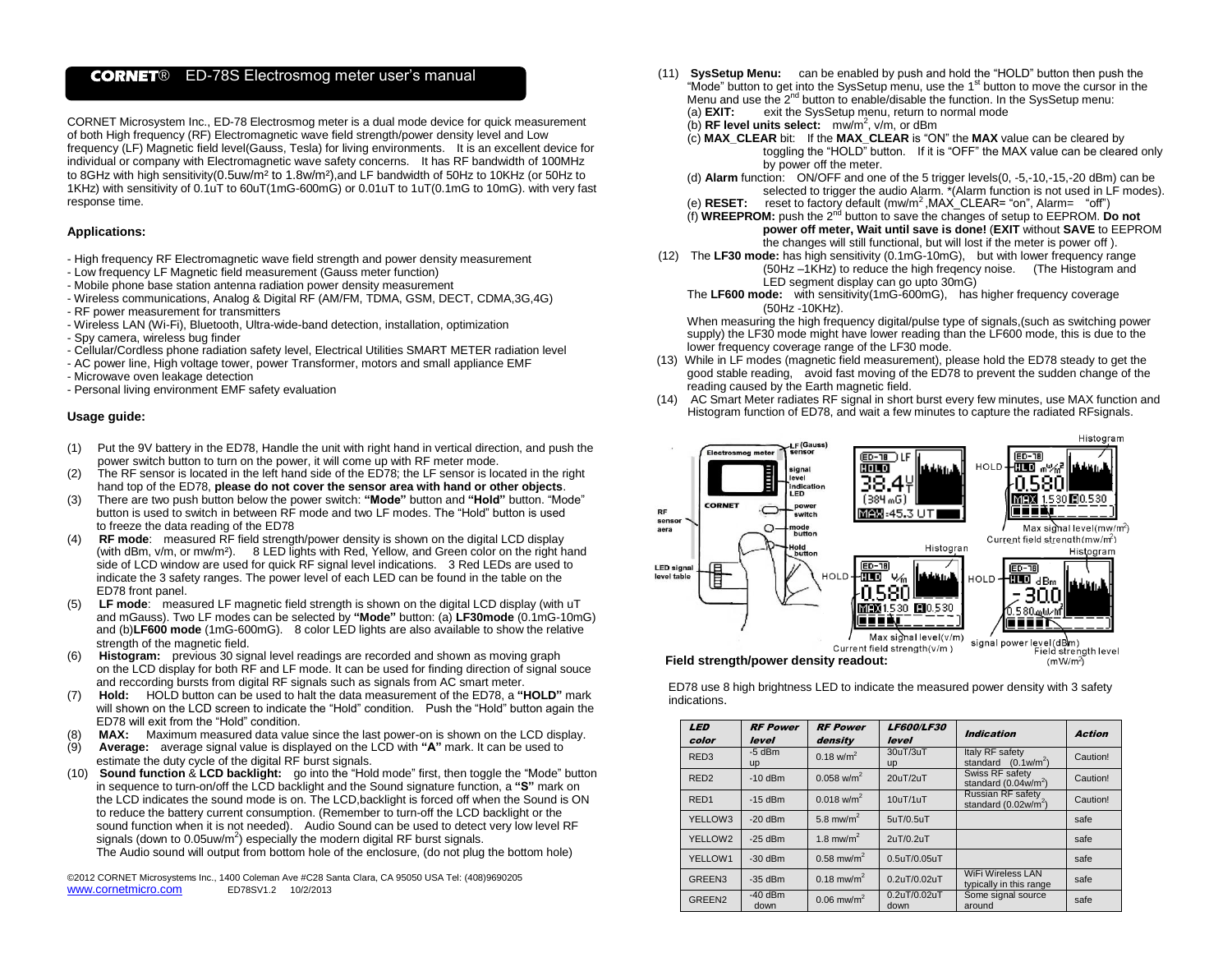# **CORNET**® ED-78S Electrosmog meter user's manual

CORNET Microsystem Inc., ED-78 Electrosmog meter is a dual mode device for quick measurement of both High frequency (RF) Electromagnetic wave field strength/power density level and Low frequency (LF) Magnetic field level(Gauss, Tesla) for living environments. It is an excellent device for individual or company with Electromagnetic wave safety concerns. It has RF bandwidth of 100MHz to 8GHz with high sensitivity(0.5uw/m² to 1.8w/m²),and LF bandwidth of 50Hz to 10KHz (or 50Hz to 1KHz) with sensitivity of 0.1uT to 60uT(1mG-600mG) or 0.01uT to 1uT(0.1mG to 10mG). with very fast response time.

### **Applications:**

- High frequency RF Electromagnetic wave field strength and power density measurement
- Low frequency LF Magnetic field measurement (Gauss meter function)
- Mobile phone base station antenna radiation power density measurement
- Wireless communications, Analog & Digital RF (AM/FM, TDMA, GSM, DECT, CDMA,3G,4G)
- RF power measurement for transmitters
- Wireless LAN (Wi-Fi), Bluetooth, Ultra-wide-band detection, installation, optimization
- Spy camera, wireless bug finder
- Cellular/Cordless phone radiation safety level, Electrical Utilities SMART METER radiation level
- AC power line, High voltage tower, power Transformer, motors and small appliance EMF
- Microwave oven leakage detection
- Personal living environment EMF safety evaluation

### **Usage guide:**

- (1) Put the 9V battery in the ED78, Handle the unit with right hand in vertical direction, and push the power switch button to turn on the power, it will come up with RF meter mode.
- (2) The RF sensor is located in the left hand side of the ED78; the LF sensor is located in the right hand top of the ED78, **please do not cover the sensor area with hand or other objects**.
- (3) There are two push button below the power switch: **"Mode"** button and **"Hold"** button. "Mode" button is used to switch in between RF mode and two LF modes. The "Hold" button is used to freeze the data reading of the ED78
- **RF mode:** measured RF field strength/power density is shown on the digital LCD display (with dBm, v/m, or mw/m²). 8 LED lights with Red, Yellow, and Green color on the right hand side of LCD window are used for quick RF signal level indications. 3 Red LEDs are used to indicate the 3 safety ranges. The power level of each LED can be found in the table on the ED78 front panel.
- (5) **LF mode**: measured LF magnetic field strength is shown on the digital LCD display (with uT and mGauss). Two LF modes can be selected by **"Mode"** button: (a) **LF30mode** (0.1mG-10mG) and (b)**LF600 mode** (1mG-600mG). 8 color LED lights are also available to show the relative strength of the magnetic field.
- **Histogram:** previous 30 signal level readings are recorded and shown as moving graph on the LCD display for both RF and LF mode. It can be used for finding direction of signal souce and reccording bursts from digital RF signals such as signals from AC smart meter.
- (7) **Hold:** HOLD button can be used to halt the data measurement of the ED78, a **"HOLD"** mark will shown on the LCD screen to indicate the "Hold" condition. Push the "Hold" button again the ED78 will exit from the "Hold" condition.
- MAX: Maximum measured data value since the last power-on is shown on the LCD display.
- (9) **Average:** average signal value is displayed on the LCD with **"A"** mark. It can be used to estimate the duty cycle of the digital RF burst signals.
- (10) **Sound function** & **LCD backlight:** go into the "Hold mode" first, then toggle the "Mode" button in sequence to turn-on/off the LCD backlight and the Sound signature function, a **"S"** mark on the LCD indicates the sound mode is on. The LCD,backlight is forced off when the Sound is ON to reduce the battery current consumption. (Remember to turn-off the LCD backlight or the sound function when it is not needed). Audio Sound can be used to detect very low level RF signals (down to 0.05uw/m<sup>2</sup>) especially the modern digital RF burst signals. The Audio sound will output from bottom hole of the enclosure, (do not plug the bottom hole)

©2012 CORNET Microsystems Inc., 1400 Coleman Ave #C28 Santa Clara, CA 95050 USA Tel: (408)9690205 www.cornetmicro.com ED78SV1.2 10/2/2013

- (11) **SysSetup Menu:** can be enabled by push and hold the "HOLD" button then push the "Mode" button to get into the SysSetup menu, use the 1<sup>st</sup> button to move the cursor in the Menu and use the  $2^{nd}$  button to enable/disable the function. In the SysSetup menu: (a) **EXIT:** exit the SysSetup menu, return to normal mode exit the SysSetup menu, return to normal mode
	- (b) **RF level units select:** mw/m<sup>2</sup>, v/m, or dBm
	- (c) **MAX\_CLEAR** bit: If the **MAX\_CLEAR** is "ON" the **MAX** value can be cleared by toggling the "HOLD" button. If it is "OFF" the MAX value can be cleared only by power off the meter.
	- (d) **Alarm** function: ON/OFF and one of the 5 trigger levels(0, -5,-10,-15,-20 dBm) can be selected to trigger the audio Alarm. \*(Alarm function is not used in LF modes).
	- (e) **RESET:** reset to factory default (mw/m<sup>2</sup>, MAX CLEAR= "on", Alarm= "off")
	- (f) **WREEPROM:** push the 2<sup>nd</sup> button to save the changes of setup to EEPROM. Do not **power off meter, Wait until save is done!** (**EXIT** without **SAVE** to EEPROM the changes will still functional, but will lost if the meter is power off ).
- (12) The **LF30 mode:** has high sensitivity (0.1mG-10mG), but with lower frequency range (50Hz –1KHz) to reduce the high freqency noise. (The Histogram and LED segment display can go upto 30mG)
	- The **LF600 mode:** with sensitivity(1mG-600mG), has higher frequency coverage (50Hz -10KHz).

When measuring the high frequency digital/pulse type of signals,(such as switching power supply) the LF30 mode might have lower reading than the LF600 mode, this is due to the lower frequency coverage range of the LF30 mode.

- (13) While in LF modes (magnetic field measurement), please hold the ED78 steady to get the good stable reading, avoid fast moving of the ED78 to prevent the sudden change of the reading caused by the Earth magnetic field.
- (14) AC Smart Meter radiates RF signal in short burst every few minutes, use MAX function and Histogram function of ED78, and wait a few minutes to capture the radiated RFsignals.



ED78 use 8 high brightness LED to indicate the measured power density with 3 safety indications.

| <b>LED</b>         | <b>RF Power</b>   | <b>RF Power</b>          | <b>LF600/LF30</b>     | <b>Indication</b>                                     | <b>Action</b> |  |
|--------------------|-------------------|--------------------------|-----------------------|-------------------------------------------------------|---------------|--|
| color              | level             | density                  | level                 |                                                       |               |  |
| RED <sub>3</sub>   | $-5$ dBm<br>up    | $0.18$ w/m <sup>2</sup>  | 30uT/3uT<br><b>up</b> | Italy RF safety<br>standard $(0.1 \text{w/m}^2)$      | Caution!      |  |
| RED <sub>2</sub>   | $-10$ dBm         | $0.058$ w/m <sup>2</sup> | 20uT/2uT              | Swiss RF safety<br>standard $(0.04w/m^2)$             | Caution!      |  |
| RED <sub>1</sub>   | $-15$ dBm         | $0.018$ w/m <sup>2</sup> | 10uT/1uT              | Russian RF safety<br>standard (0.02w/m <sup>2</sup> ) | Caution!      |  |
| YELLOW3            | $-20$ dBm         | 5.8 mw/m <sup>2</sup>    | 5uT/0.5uT             |                                                       | safe          |  |
| YELLOW2            | $-25$ dBm         | 1.8 mw/m <sup>2</sup>    | 2uT/0.2uT             |                                                       | safe          |  |
| YELLOW1            | $-30$ dBm         | $0.58$ mw/m <sup>2</sup> | 0.5uT/0.05uT          |                                                       | safe          |  |
| GREEN3             | $-35$ dBm         | $0.18$ mw/m <sup>2</sup> | 0.2uT/0.02uT          | <b>WiFi Wireless LAN</b><br>typically in this range   | safe          |  |
| GREEN <sub>2</sub> | $-40$ dBm<br>down | $0.06$ mw/m <sup>2</sup> | 0.2uT/0.02uT<br>down  | Some signal source<br>around                          | safe          |  |